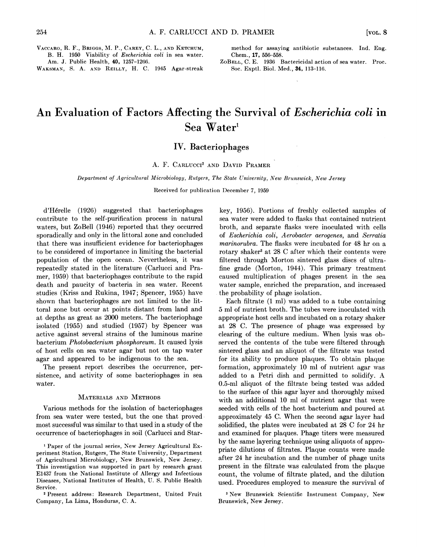VACCARO, R. F., BRIGGS, M. P., CAREY, C. L., AND KETCHUM, B. H. 1950 Viability of Escherichia coli in sea water. Am. J. Public Health, 40, 1257-1266.

WAKSMAN, S. A. AND REILLY, H. C. 1945 Agar-streak

method for assaying antibiotic substances. Ind. Eng. Chem., 17, 556-558.

ZoBELL, C. E. 1936 Bactericidal action of sea water. Proc. Soc. Exptl. Biol. Med., 34, 113-116.

# An Evaluation of Factors Affecting the Survival of Escherichia coli in Sea Water<sup>1</sup>

### IV. Bacteriophages

#### A. F. CARLUCCI<sup>2</sup> AND DAVID PRAMER

#### Department of Agricultural Microbiology, Rutgers, The State University, New Brunswick, New Jersey

Received for publication December 7, 1959

d'Hérelle (1926) suggested that bacteriophages contribute to the self-purification process in natural waters, but ZoBell (1946) reported that they occurred sporadically and only in the littoral zone and concluded that there was insufficient evidence for bacteriophages to be considered of importance in limiting the bacterial population of the open ocean. Nevertheless, it was repeatedly stated in the literature (Carlucci and Pramer, 1959) that bacteriophages contribute to the rapid death and paucity of bacteria in sea water. Recent studies (Kriss and Rukina, 1947; Spencer, 1955) have shown that bacteriophages are not limited to the littoral zone but occur at points distant from land and at depths as great as 2000 meters. The bacteriophage isolated (1955) and studied (1957) by Spencer was active against several strains of the luminous marine bacterium Photobacterium phosphoreum. It caused lysis of host cells on sea water agar but not on tap water agar and appeared to be indigenous to the sea.

The present report describes the occurrence, persistence, and activity of some bacteriophages in sea water.

#### MATERIALS AND METHODS

Various methods for the isolation of bacteriophages from sea water were tested, but the one that proved most successful was similar to that used in a study of the occurrence of bacteriophages in soil (Carlucci and Star-

' Paper of the journal series, New Jersey Agricultural Experiment Station, Rutgers, The State University, Department of Agricultural Microbiology, New Brunswick, New Jersey. This investigation was supported in part by research grant E1437 from the National Institute of Allergy and Infectious Diseases, National Institutes of Health, U. S. Public Health Service.

<sup>2</sup> Present address: Research Department, United Fruit Company, La Lima, Honduras, C. A.

key, 1956). Portions of freshly collected samples of sea water were added to flasks that contained nutrient broth, and separate flasks were inoculated with cells of Escherichia coli, Aerobacter aerogenes, and Serratia marinorubra. The flasks were incubated for 48 hr on a rotary shaker<sup>3</sup> at 28 C after which their contents were filtered through Morton sintered glass discs of ultrafine grade (Morton, 1944). This primary treatment caused multiplication of phages present in the sea water sample, enriched the preparation, and increased the probability of phage isolation.

Each filtrate (1 ml) was added to a tube containing 5 ml of nutrient broth. The tubes were inoculated with appropriate host cells and incubated on a rotary shaker at 28 C. The presence of phage was expressed by clearing of the culture medium. When lysis was observed the contents of the tube were filtered through sintered glass and an aliquot of the filtrate was tested for its ability to produce plaques. To obtain plaque formation, approximately 10 ml of nutrient agar was added to <sup>a</sup> Petri dish and permitted to solidify. A 0.5-ml aliquot of the filtrate being tested was added to the surface of this agar layer and thoroughly mixed with an additional 10 ml of nutrient agar that were seeded with cells of the host bacterium and poured at approximately 45 C. When the second agar layer had solidified, the plates were incubated at 28 C for 24 hr and examined for plaques. Phage titers were measured by the same layering technique using aliquots of appropriate dilutions of filtrates. Plaque counts were made after 24 hr incubation and the number of phage units present in the filtrate was calculated from the plaque count, the volume of filtrate plated, and the dilution used. Procedures employed to measure the survival of

<sup>3</sup> New Brunswick Scientific Instrument Company, New Brunswick, New Jersey.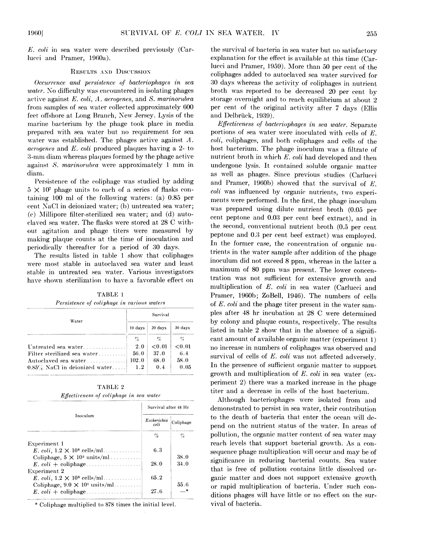$E.$  coli in sea water were described previously (Carlucci and Pramer, 1960a).

#### RESULTS AND DISCUSSION

Occurrence and persistence of bacteriophages in sea water. No difficulty was encountered in isolating phages active against E. coli, A. aerogenes, and S. marinorubra from samples of sea water collected approximately 600 feet offshore at Long Branch, New Jersey. Lysis of the marine bacterium by the phage took place in media prepared with sea water but no requirement for sea water was established. The phages active against  $A$ . aerogenes and E. coli produeed plaques having a 2- to 3-mm diam whereas plaques formed by the phage active against S. marinorubra were approximately <sup>1</sup> mm in diam.

Persistence of the coliphage was studied by adding  $5 \times 10^7$  phage units to each of a series of flasks containing 100 ml of the following waters: (a) 0.85 per cent NaCl in deionized water; (b) untreated sea water; (e) Millipore filter-sterilized sea water; and (d) autoelaved sea water. The flasks were stored at 28 C without agitation and phage titers were measured by making plaque counts at the time of inoculation and periodically thereafter for a period of 30 days.

The results listed in table <sup>1</sup> show that coliphages were most stable in autoclaved sea water and least stable in untreated sea water. Various investigators have shown sterilization to have a favorable effect on

> TABLE <sup>1</sup> Persistence of colinhage in various waters

| Water                            | Survival |         |         |
|----------------------------------|----------|---------|---------|
|                                  | 10 days  | 20 days | 30 days |
|                                  | $\%$     | $\%$    | $\%$    |
| Untreated sea water              | 2.0      | < 0.01  | < 0.01  |
| Filter sterilized sea water      | 56.0     | 37.0    | 6.4     |
| Autoclaved sea water             | 102.0    | 68.0    | 58.0    |
| $0.85\%$ NaCl in deionized water | 1.2      | 0.4     | 0.05    |

TABLE <sup>2</sup> Effectiveness of coliphage in sea water

|                                       | Survival after 48 Hr |           |
|---------------------------------------|----------------------|-----------|
| Inoculum                              | Escherichia<br>coli  | Coliphage |
|                                       | $\%$                 | $\%$      |
| Experiment 1                          |                      |           |
| E. coli, $1.2 \times 10^6$ cells/ml   | 6.3                  |           |
| Coliphage, $5 \times 10^5$ units/ml   |                      | 38.0      |
|                                       | 28.0                 | 34.0      |
| Experiment 2                          |                      |           |
| E. coli, $1.2 \times 10^6$ cells/ml   | 65.2                 |           |
| Coliphage, $9.0 \times 10^4$ units/ml |                      | 55.6      |
|                                       | 27.6                 |           |

\* Coliphage multiplied to 878 times the initial level.

the survival of bacteria in sea water but no satisfactory explanation for the effect is available at this time (Carlucci and Pramer, 1959). More than 50 per cent of the coliphages added to autoclaved sea water survived for 30 days whereas the activity of coliphages in nutrient broth was reported to be decreased 20 per cent by storage overnight and to reach equilibrium at about 2 per cent of the original activity after 7 days (Ellis and Delbrück, 1939).

Effectiveness of bacteriophages in sea water. Separate portions of sea water were inoculated with cells of E. coli, coliphages, and both coliphages and cells of the host bacterium. The phage inoculum was a filtrate of nutrient broth in which E. coli had developed and then undergone lysis. It contained soluble organic matter as well as phages. Since previous studies (Carlucci and Pramer, 1960b) showed that the survival of E. coli was influenced by organic nutrients, two experiments were performed. In the first, the phage inoculum was prepared using dilute nutrient broth (0.05 per cent peptone and 0.03 per cent beef extract), and in the second, conventional nutrient broth (0.5 per cent peptone and 0.3 per cent beef extract) was employed. In the former case, the concentration of organic nutrients in the water sample after addition of the phage inoculum did not exceed 8 ppm, whereas in the latter a maximum of 80 ppm was present. The lower concentration was not sufficient for extensive growth and multiplication of  $E$ . *coli* in sea water (Carlucci and Pramer, 1960b; ZoBell, 1946). The numbers of cells of E. coli and the phage titer present in the water samples after 48 hr incubation at 28 C were determined by colony and plaque counts, respectively. The results listed in table 2 show that in the absence of a significant amount of available organic matter (experiment 1) no increase in numbers of coliphages was observed and survival of cells of E. coli was not affected adversely. In the presence of sufficient organic matter to support growth and multiplication of  $E$ , coli in sea water (experiment 2) there was a marked increase in the phage titer and a decrease in cells of the host bacterium.

Although' bacteriophages were isolated from and demonstrated to persist in sea water, their contribution to the death of bacteria that enter the ocean will depend on the nutrient status of the water. In areas of pollution, the organic matter content of sea water may reach levels that support bacterial growth. As a consequence phage multiplication will occur and may be of significance in reducing bacterial counts. Sea water that is free of pollution contains little dissolved organic matter and does not support extensive growth or rapid multiplication of bacteria. Under such conditions phages will have little or no effect on the survival of bacteria.